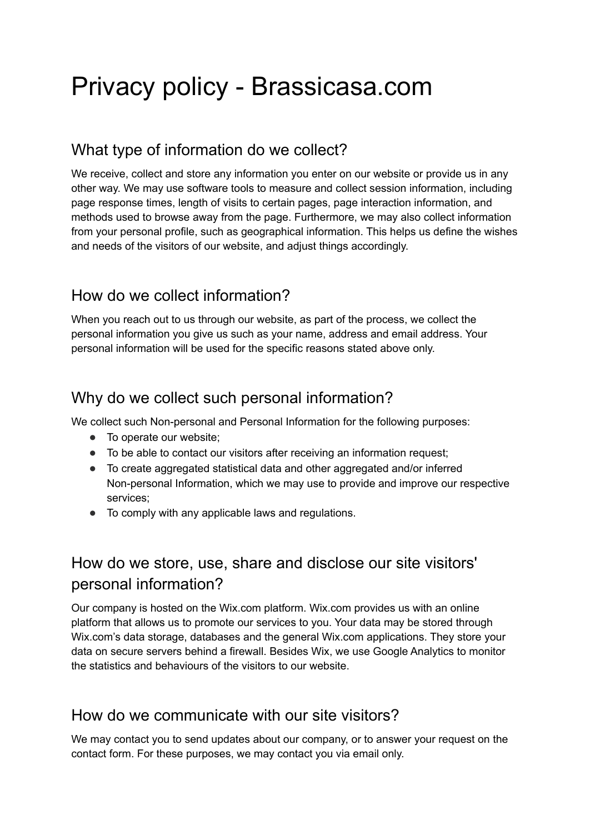# Privacy policy - Brassicasa.com

#### What type of information do we collect?

We receive, collect and store any information you enter on our website or provide us in any other way. We may use software tools to measure and collect session information, including page response times, length of visits to certain pages, page interaction information, and methods used to browse away from the page. Furthermore, we may also collect information from your personal profile, such as geographical information. This helps us define the wishes and needs of the visitors of our website, and adjust things accordingly.

## How do we collect information?

When you reach out to us through our website, as part of the process, we collect the personal information you give us such as your name, address and email address. Your personal information will be used for the specific reasons stated above only.

#### Why do we collect such personal information?

We collect such Non-personal and Personal Information for the following purposes:

- To operate our website;
- To be able to contact our visitors after receiving an information request;
- To create aggregated statistical data and other aggregated and/or inferred Non-personal Information, which we may use to provide and improve our respective services;
- To comply with any applicable laws and regulations.

# How do we store, use, share and disclose our site visitors' personal information?

Our company is hosted on the Wix.com platform. Wix.com provides us with an online platform that allows us to promote our services to you. Your data may be stored through Wix.com's data storage, databases and the general Wix.com applications. They store your data on secure servers behind a firewall. Besides Wix, we use Google Analytics to monitor the statistics and behaviours of the visitors to our website.

## How do we communicate with our site visitors?

We may contact you to send updates about our company, or to answer your request on the contact form. For these purposes, we may contact you via email only.